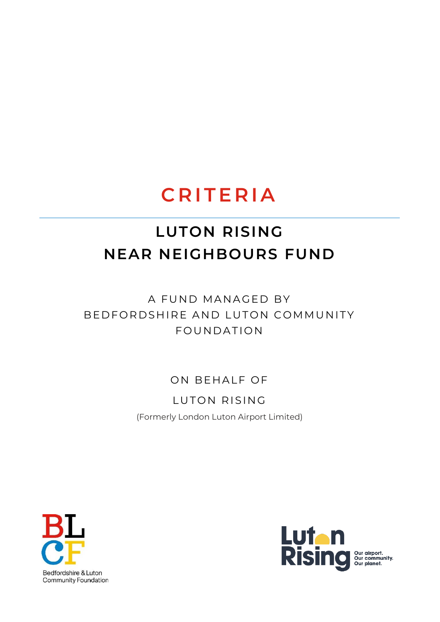# **C R I T E R I A**

# **LUTON RISING NEAR NEIGHBOURS FUND**

## A FUND MANAGED BY BE D F O R D S HIRE AND LUTON COMMUNITY FOUNDATION

### ON BEHALF OF

LUTON RISING (Formerly London Luton Airport Limited)



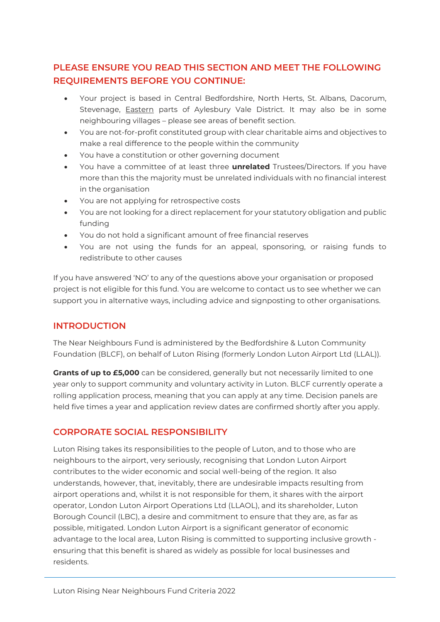#### **PLEASE ENSURE YOU READ THIS SECTION AND MEET THE FOLLOWING REQUIREMENTS BEFORE YOU CONTINUE:**

- Your project is based in Central Bedfordshire, North Herts, St. Albans, Dacorum, Stevenage, Eastern parts of Aylesbury Vale District. It may also be in some neighbouring villages – please see areas of benefit section.
- You are not-for-profit constituted group with clear charitable aims and objectives to make a real difference to the people within the community
- You have a constitution or other governing document
- You have a committee of at least three **unrelated** Trustees/Directors. If you have more than this the majority must be unrelated individuals with no financial interest in the organisation
- You are not applying for retrospective costs
- You are not looking for a direct replacement for your statutory obligation and public funding
- You do not hold a significant amount of free financial reserves
- You are not using the funds for an appeal, sponsoring, or raising funds to redistribute to other causes

If you have answered 'NO' to any of the questions above your organisation or proposed project is not eligible for this fund. You are welcome to contact us to see whether we can support you in alternative ways, including advice and signposting to other organisations.

#### **INTRODUCTION**

The Near Neighbours Fund is administered by the Bedfordshire & Luton Community Foundation (BLCF), on behalf of Luton Rising (formerly London Luton Airport Ltd (LLAL)).

**Grants of up to £5,000** can be considered, generally but not necessarily limited to one year only to support community and voluntary activity in Luton. BLCF currently operate a rolling application process, meaning that you can apply at any time. Decision panels are held five times a year and application review dates are confirmed shortly after you apply.

#### **CORPORATE SOCIAL RESPONSIBILITY**

Luton Rising takes its responsibilities to the people of Luton, and to those who are neighbours to the airport, very seriously, recognising that London Luton Airport contributes to the wider economic and social well-being of the region. It also understands, however, that, inevitably, there are undesirable impacts resulting from airport operations and, whilst it is not responsible for them, it shares with the airport operator, London Luton Airport Operations Ltd (LLAOL), and its shareholder, Luton Borough Council (LBC), a desire and commitment to ensure that they are, as far as possible, mitigated. London Luton Airport is a significant generator of economic advantage to the local area, Luton Rising is committed to supporting inclusive growth ensuring that this benefit is shared as widely as possible for local businesses and residents.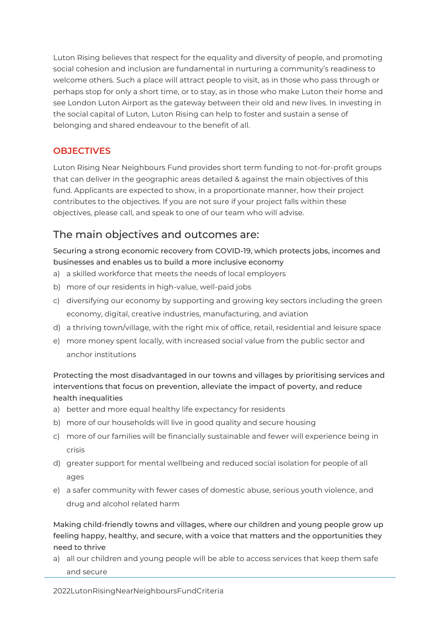Luton Rising believes that respect for the equality and diversity of people, and promoting social cohesion and inclusion are fundamental in nurturing a community's readiness to welcome others. Such a place will attract people to visit, as in those who pass through or perhaps stop for only a short time, or to stay, as in those who make Luton their home and see London Luton Airport as the gateway between their old and new lives. In investing in the social capital of Luton, Luton Rising can help to foster and sustain a sense of belonging and shared endeavour to the benefit of all.

#### **OBJECTIVES**

Luton Rising Near Neighbours Fund provides short term funding to not-for-profit groups that can deliver in the geographic areas detailed & against the main objectives of this fund. Applicants are expected to show, in a proportionate manner, how their project contributes to the objectives. If you are not sure if your project falls within these objectives, please call, and speak to one of our team who will advise.

### The main objectives and outcomes are:

Securing a strong economic recovery from COVID-19, which protects jobs, incomes and businesses and enables us to build a more inclusive economy

- a) a skilled workforce that meets the needs of local employers
- b) more of our residents in high-value, well-paid jobs
- c) diversifying our economy by supporting and growing key sectors including the green economy, digital, creative industries, manufacturing, and aviation
- d) a thriving town/village, with the right mix of office, retail, residential and leisure space
- e) more money spent locally, with increased social value from the public sector and anchor institutions

Protecting the most disadvantaged in our towns and villages by prioritising services and interventions that focus on prevention, alleviate the impact of poverty, and reduce health inequalities

- a) better and more equal healthy life expectancy for residents
- b) more of our households will live in good quality and secure housing
- c) more of our families will be financially sustainable and fewer will experience being in crisis
- d) greater support for mental wellbeing and reduced social isolation for people of all ages
- e) a safer community with fewer cases of domestic abuse, serious youth violence, and drug and alcohol related harm

Making child-friendly towns and villages, where our children and young people grow up feeling happy, healthy, and secure, with a voice that matters and the opportunities they need to thrive

a) all our children and young people will be able to access services that keep them safe and secure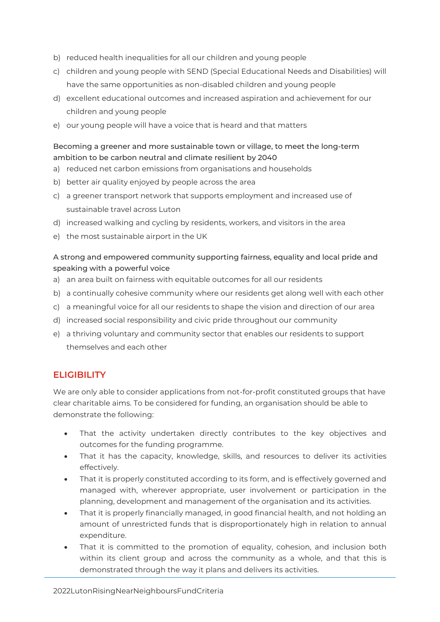- b) reduced health inequalities for all our children and young people
- c) children and young people with SEND (Special Educational Needs and Disabilities) will have the same opportunities as non-disabled children and young people
- d) excellent educational outcomes and increased aspiration and achievement for our children and young people
- e) our young people will have a voice that is heard and that matters

#### Becoming a greener and more sustainable town or village, to meet the long-term ambition to be carbon neutral and climate resilient by 2040

- a) reduced net carbon emissions from organisations and households
- b) better air quality enjoyed by people across the area
- c) a greener transport network that supports employment and increased use of sustainable travel across Luton
- d) increased walking and cycling by residents, workers, and visitors in the area
- e) the most sustainable airport in the UK

#### A strong and empowered community supporting fairness, equality and local pride and speaking with a powerful voice

- a) an area built on fairness with equitable outcomes for all our residents
- b) a continually cohesive community where our residents get along well with each other
- c) a meaningful voice for all our residents to shape the vision and direction of our area
- d) increased social responsibility and civic pride throughout our community
- e) a thriving voluntary and community sector that enables our residents to support themselves and each other

#### **ELIGIBILITY**

We are only able to consider applications from not-for-profit constituted groups that have clear charitable aims. To be considered for funding, an organisation should be able to demonstrate the following:

- That the activity undertaken directly contributes to the key objectives and outcomes for the funding programme.
- That it has the capacity, knowledge, skills, and resources to deliver its activities effectively.
- That it is properly constituted according to its form, and is effectively governed and managed with, wherever appropriate, user involvement or participation in the planning, development and management of the organisation and its activities.
- That it is properly financially managed, in good financial health, and not holding an amount of unrestricted funds that is disproportionately high in relation to annual expenditure.
- That it is committed to the promotion of equality, cohesion, and inclusion both within its client group and across the community as a whole, and that this is demonstrated through the way it plans and delivers its activities.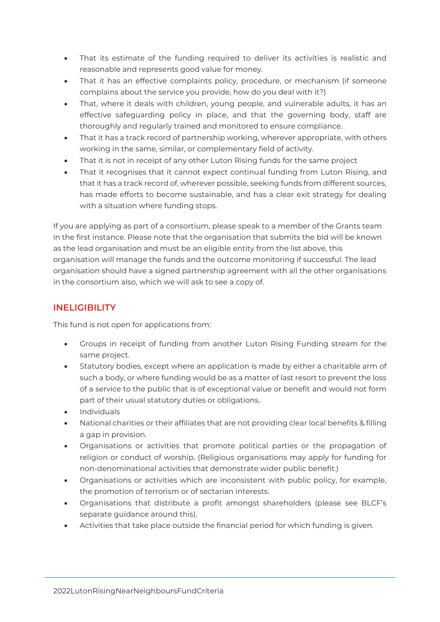- That its estimate of the funding required to deliver its activities is realistic and reasonable and represents good value for money.
- That it has an effective complaints policy, procedure, or mechanism (if someone complains about the service you provide, how do you deal with it?)
- That, where it deals with children, young people, and vulnerable adults, it has an effective safeguarding policy in place, and that the governing body, staff are thoroughly and regularly trained and monitored to ensure compliance.
- That it has a track record of partnership working, wherever appropriate, with others working in the same, similar, or complementary field of activity.
- That it is not in receipt of any other Luton Rising funds for the same project
- That it recognises that it cannot expect continual funding from Luton Rising, and that it has a track record of, wherever possible, seeking funds from different sources, has made efforts to become sustainable, and has a clear exit strategy for dealing with a situation where funding stops.

If you are applying as part of a consortium, please speak to a member of the Grants team in the first instance. Please note that the organisation that submits the bid will be known as the lead organisation and must be an eligible entity from the list above, this organisation will manage the funds and the outcome monitoring if successful. The lead organisation should have a signed partnership agreement with all the other organisations in the consortium also, which we will ask to see a copy of.

#### **INELIGIBILITY**

This fund is not open for applications from:

- Groups in receipt of funding from another Luton Rising Funding stream for the same project.
- Statutory bodies, except where an application is made by either a charitable arm of such a body, or where funding would be as a matter of last resort to prevent the loss of a service to the public that is of exceptional value or benefit and would not form part of their usual statutory duties or obligations.
- Individuals
- National charities or their affiliates that are not providing clear local benefits & filling a gap in provision.
- Organisations or activities that promote political parties or the propagation of religion or conduct of worship. (Religious organisations may apply for funding for non-denominational activities that demonstrate wider public benefit.)
- Organisations or activities which are inconsistent with public policy, for example, the promotion of terrorism or of sectarian interests.
- Organisations that distribute a profit amongst shareholders (please see BLCF's separate guidance around this).
- Activities that take place outside the financial period for which funding is given.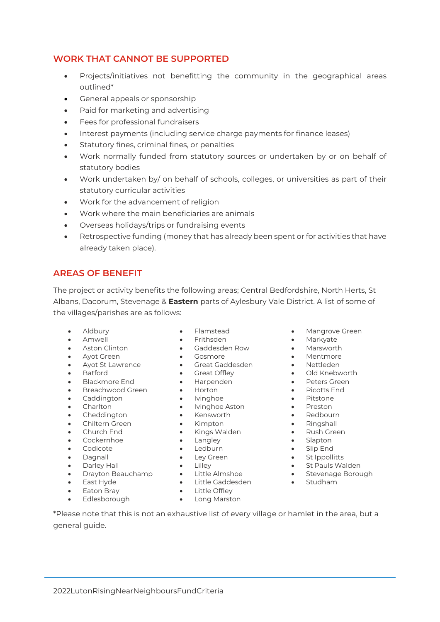#### **WORK THAT CANNOT BE SUPPORTED**

- Projects/initiatives not benefitting the community in the geographical areas outlined\*
- General appeals or sponsorship
- Paid for marketing and advertising
- Fees for professional fundraisers
- Interest payments (including service charge payments for finance leases)
- Statutory fines, criminal fines, or penalties
- Work normally funded from statutory sources or undertaken by or on behalf of statutory bodies
- Work undertaken by/ on behalf of schools, colleges, or universities as part of their statutory curricular activities
- Work for the advancement of religion
- Work where the main beneficiaries are animals
- Overseas holidays/trips or fundraising events
- Retrospective funding (money that has already been spent or for activities that have already taken place).

#### **AREAS OF BENEFIT**

The project or activity benefits the following areas; Central Bedfordshire, North Herts, St Albans, Dacorum, Stevenage & **Eastern** parts of Aylesbury Vale District. A list of some of the villages/parishes are as follows:

- 
- 
- 
- Ayot Green Gosmore Mentmore
- 
- 
- Blackmore End Harpenden Peters Green
- Breachwood Green Horton • Picotts End
- Caddington Ivinghoe **•** Ivinghoe **•** Pitstone
- 
- Cheddington Kensworth Redbourn
- Chiltern Green Kimpton Ringshall
- 
- 
- 
- 
- 
- 
- 
- 
- Edlesborough Long Marston
- 
- Amwell Frithsden Markyate
- Aston Clinton Gaddesden Row Marsworth
	-
- Ayot St Lawrence Great Gaddesden Nettleden
- Batford Great Offley Old Knebworth
	-
	-
	-
- Charlton Ivinghoe Aston Preston
	-
	-
- Church End Kings Walden Rush Green
	-
	-
	-
	-
	-
- East Hyde Little Gaddesden Studham
	-
	-
- Aldbury Flamstead Mangrove Green
	-
	-
	-
	-
	-
	-
	-
	-
	-
	-
	-
	-
	-
	-
	-
- Dagnall Ley Green St Ippollitts • Darley Hall • Lilley • St Pauls Walden
- Drayton Beauchamp Little Almshoe • Stevenage Borough
	-

\*Please note that this is not an exhaustive list of every village or hamlet in the area, but a general guide.

- 
- 
- 
- 
- Eaton Bray **•** Little Offley
	-
- Cockernhoe Langley Slapton • Codicote • Ledburn • Slip End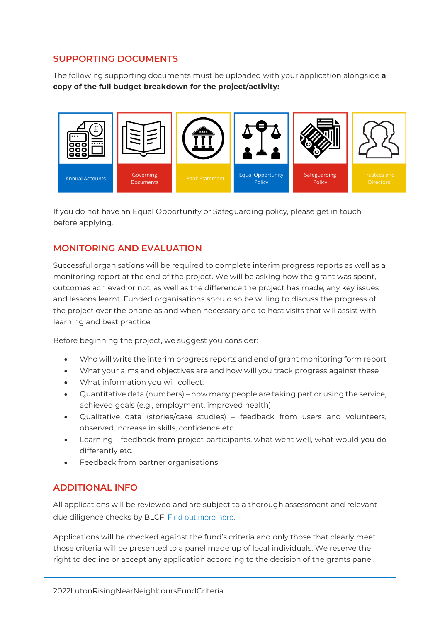#### **SUPPORTING DOCUMENTS**

The following supporting documents must be uploaded with your application alongside **a copy of the full budget breakdown for the project/activity:**



If you do not have an Equal Opportunity or Safeguarding policy, please get in touch before applying.

#### **MONITORING AND EVALUATION**

Successful organisations will be required to complete interim progress reports as well as a monitoring report at the end of the project. We will be asking how the grant was spent, outcomes achieved or not, as well as the difference the project has made, any key issues and lessons learnt. Funded organisations should so be willing to discuss the progress of the project over the phone as and when necessary and to host visits that will assist with learning and best practice.

Before beginning the project, we suggest you consider:

- Who will write the interim progress reports and end of grant monitoring form report
- What your aims and objectives are and how will you track progress against these
- What information you will collect:
- Quantitative data (numbers) how many people are taking part or using the service, achieved goals (e.g., employment, improved health)
- Qualitative data (stories/case studies) feedback from users and volunteers, observed increase in skills, confidence etc.
- Learning feedback from project participants, what went well, what would you do differently etc.
- Feedback from partner organisations

#### **ADDITIONAL INFO**

All applications will be reviewed and are subject to a thorough assessment and relevant due diligence checks by BLCF[.](https://www.blcf.org.uk/assets/pdfs/Our%20Checks%20on%20your%20orgs.pdf) Find out more here.

Applications will be checked against the fund's criteria and only those that clearly meet those criteria will be presented to a panel made up of local individuals. We reserve the right to decline or accept any application according to the decision of the grants panel.